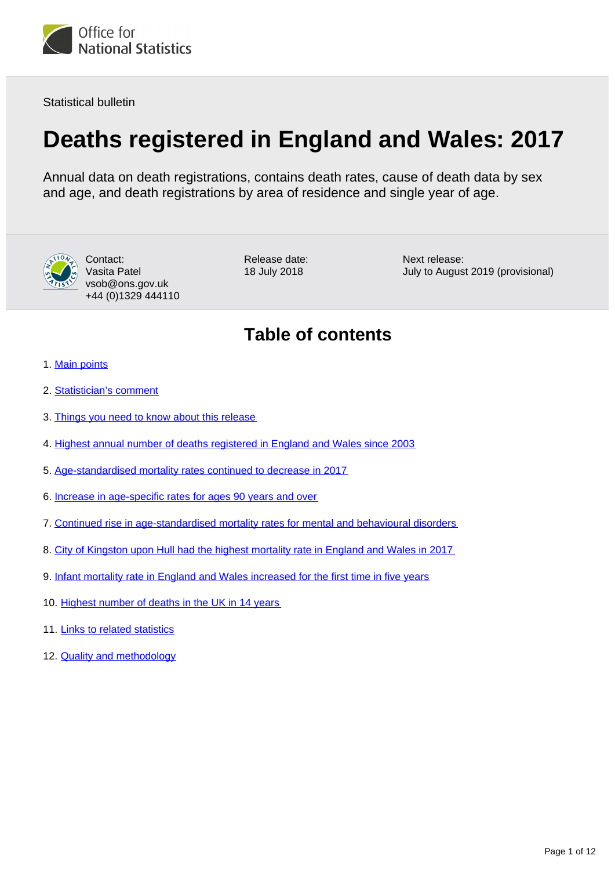

Statistical bulletin

# **Deaths registered in England and Wales: 2017**

Annual data on death registrations, contains death rates, cause of death data by sex and age, and death registrations by area of residence and single year of age.



Contact: Vasita Patel vsob@ons.gov.uk +44 (0)1329 444110 Release date: 18 July 2018

Next release: July to August 2019 (provisional)

## **Table of contents**

- 1. [Main points](#page-1-0)
- 2. [Statistician's comment](#page-1-1)
- 3. [Things you need to know about this release](#page-1-2)
- 4. [Highest annual number of deaths registered in England and Wales since 2003](#page-2-0)
- 5. [Age-standardised mortality rates continued to decrease in 2017](#page-4-0)
- 6. [Increase in age-specific rates for ages 90 years and over](#page-5-0)
- 7. [Continued rise in age-standardised mortality rates for mental and behavioural disorders](#page-6-0)
- 8. [City of Kingston upon Hull had the highest mortality rate in England and Wales in 2017](#page-7-0)
- 9. [Infant mortality rate in England and Wales increased for the first time in five years](#page-8-0)
- 10. [Highest number of deaths in the UK in 14 years](#page-10-0)
- 11. [Links to related statistics](#page-10-1)
- 12. [Quality and methodology](#page-10-2)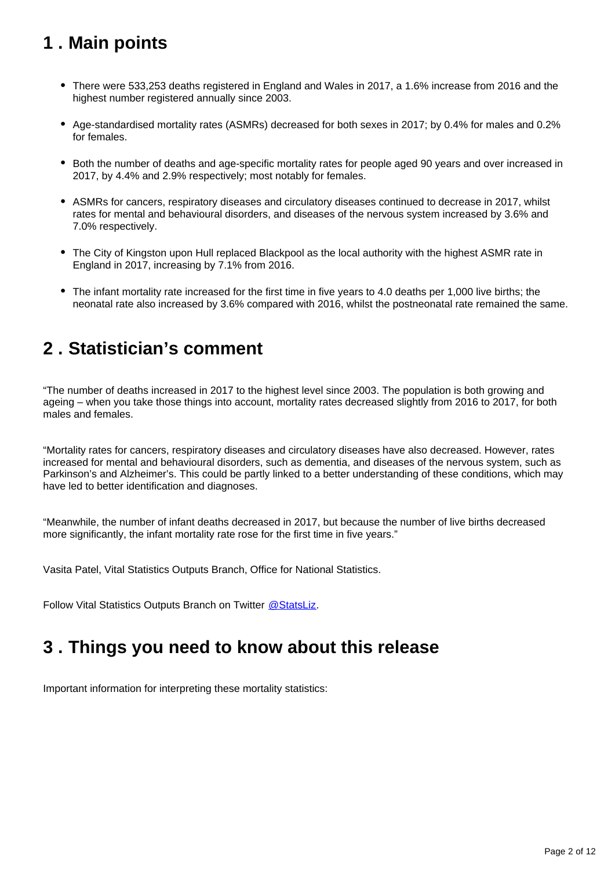## <span id="page-1-0"></span>**1 . Main points**

- There were 533,253 deaths registered in England and Wales in 2017, a 1.6% increase from 2016 and the highest number registered annually since 2003.
- Age-standardised mortality rates (ASMRs) decreased for both sexes in 2017; by 0.4% for males and 0.2% for females.
- Both the number of deaths and age-specific mortality rates for people aged 90 years and over increased in 2017, by 4.4% and 2.9% respectively; most notably for females.
- ASMRs for cancers, respiratory diseases and circulatory diseases continued to decrease in 2017, whilst rates for mental and behavioural disorders, and diseases of the nervous system increased by 3.6% and 7.0% respectively.
- The City of Kingston upon Hull replaced Blackpool as the local authority with the highest ASMR rate in England in 2017, increasing by 7.1% from 2016.
- The infant mortality rate increased for the first time in five years to 4.0 deaths per 1,000 live births; the neonatal rate also increased by 3.6% compared with 2016, whilst the postneonatal rate remained the same.

### <span id="page-1-1"></span>**2 . Statistician's comment**

"The number of deaths increased in 2017 to the highest level since 2003. The population is both growing and ageing – when you take those things into account, mortality rates decreased slightly from 2016 to 2017, for both males and females.

"Mortality rates for cancers, respiratory diseases and circulatory diseases have also decreased. However, rates increased for mental and behavioural disorders, such as dementia, and diseases of the nervous system, such as Parkinson's and Alzheimer's. This could be partly linked to a better understanding of these conditions, which may have led to better identification and diagnoses.

"Meanwhile, the number of infant deaths decreased in 2017, but because the number of live births decreased more significantly, the infant mortality rate rose for the first time in five years."

Vasita Patel, Vital Statistics Outputs Branch, Office for National Statistics.

Follow Vital Statistics Outputs Branch on Twitter @ StatsLiz.

## <span id="page-1-2"></span>**3 . Things you need to know about this release**

Important information for interpreting these mortality statistics: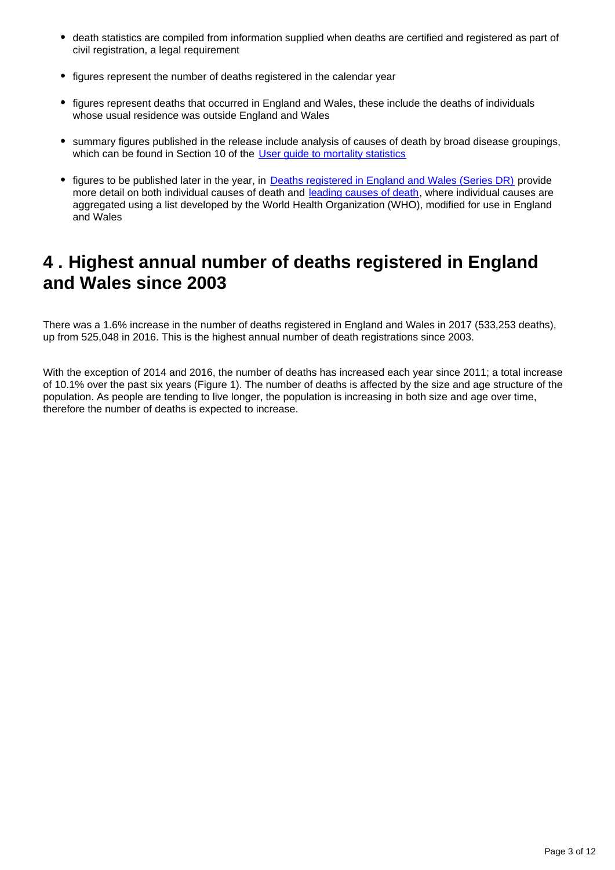- death statistics are compiled from information supplied when deaths are certified and registered as part of civil registration, a legal requirement
- figures represent the number of deaths registered in the calendar year
- figures represent deaths that occurred in England and Wales, these include the deaths of individuals whose usual residence was outside England and Wales
- summary figures published in the release include analysis of causes of death by broad disease groupings, which can be found in Section 10 of the User quide to mortality statistics
- figures to be published later in the year, in [Deaths registered in England and Wales \(Series DR\)](https://www.ons.gov.uk/peoplepopulationandcommunity/birthsdeathsandmarriages/deaths/bulletins/deathsregisteredinenglandandwalesseriesdr/previousReleases) provide more detail on both individual causes of death and [leading causes of death](https://www.ons.gov.uk/peoplepopulationandcommunity/birthsdeathsandmarriages/deaths/methodologies/userguidetomortalitystatistics/leadingcausesofdeathinenglandandwalesrevised2016), where individual causes are aggregated using a list developed by the World Health Organization (WHO), modified for use in England and Wales

## <span id="page-2-0"></span>**4 . Highest annual number of deaths registered in England and Wales since 2003**

There was a 1.6% increase in the number of deaths registered in England and Wales in 2017 (533,253 deaths), up from 525,048 in 2016. This is the highest annual number of death registrations since 2003.

With the exception of 2014 and 2016, the number of deaths has increased each year since 2011; a total increase of 10.1% over the past six years (Figure 1). The number of deaths is affected by the size and age structure of the population. As people are tending to live longer, the population is increasing in both size and age over time, therefore the number of deaths is expected to increase.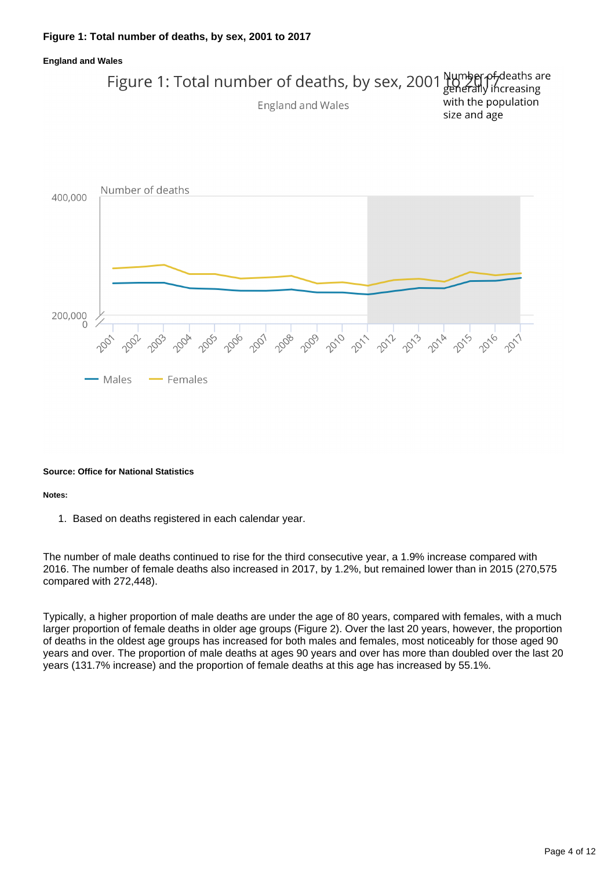### **Figure 1: Total number of deaths, by sex, 2001 to 2017**



#### **Source: Office for National Statistics**

#### **Notes:**

1. Based on deaths registered in each calendar year.

The number of male deaths continued to rise for the third consecutive year, a 1.9% increase compared with 2016. The number of female deaths also increased in 2017, by 1.2%, but remained lower than in 2015 (270,575 compared with 272,448).

Typically, a higher proportion of male deaths are under the age of 80 years, compared with females, with a much larger proportion of female deaths in older age groups (Figure 2). Over the last 20 years, however, the proportion of deaths in the oldest age groups has increased for both males and females, most noticeably for those aged 90 years and over. The proportion of male deaths at ages 90 years and over has more than doubled over the last 20 years (131.7% increase) and the proportion of female deaths at this age has increased by 55.1%.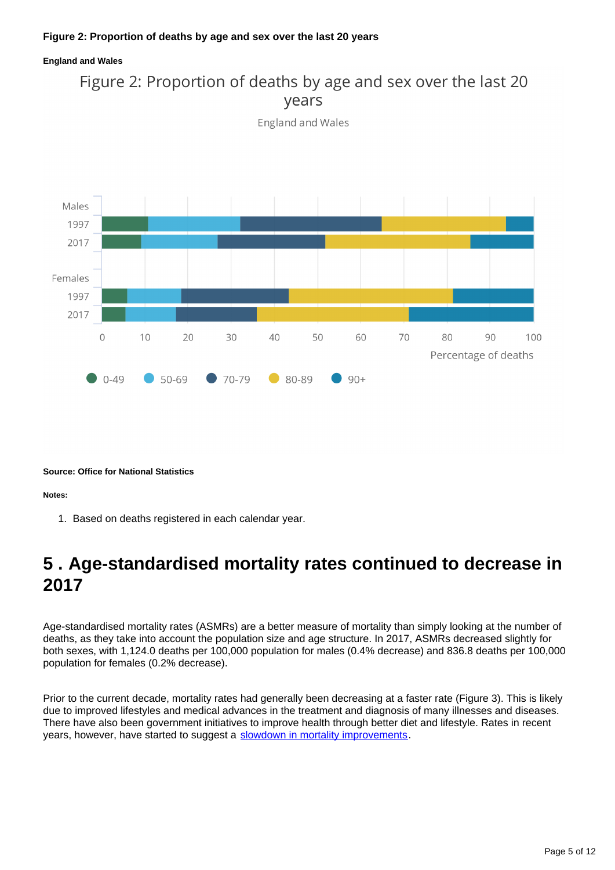### **Figure 2: Proportion of deaths by age and sex over the last 20 years**

#### **England and Wales**





**Source: Office for National Statistics**

**Notes:**

1. Based on deaths registered in each calendar year.

## <span id="page-4-0"></span>**5 . Age-standardised mortality rates continued to decrease in 2017**

Age-standardised mortality rates (ASMRs) are a better measure of mortality than simply looking at the number of deaths, as they take into account the population size and age structure. In 2017, ASMRs decreased slightly for both sexes, with 1,124.0 deaths per 100,000 population for males (0.4% decrease) and 836.8 deaths per 100,000 population for females (0.2% decrease).

Prior to the current decade, mortality rates had generally been decreasing at a faster rate (Figure 3). This is likely due to improved lifestyles and medical advances in the treatment and diagnosis of many illnesses and diseases. There have also been government initiatives to improve health through better diet and lifestyle. Rates in recent years, however, have started to suggest a [slowdown in mortality improvements](https://www.ons.gov.uk/peoplepopulationandcommunity/birthsdeathsandmarriages/deaths/articles/changingtrendsinmortalityinenglandandwales1990to2017/experimentalstatistics).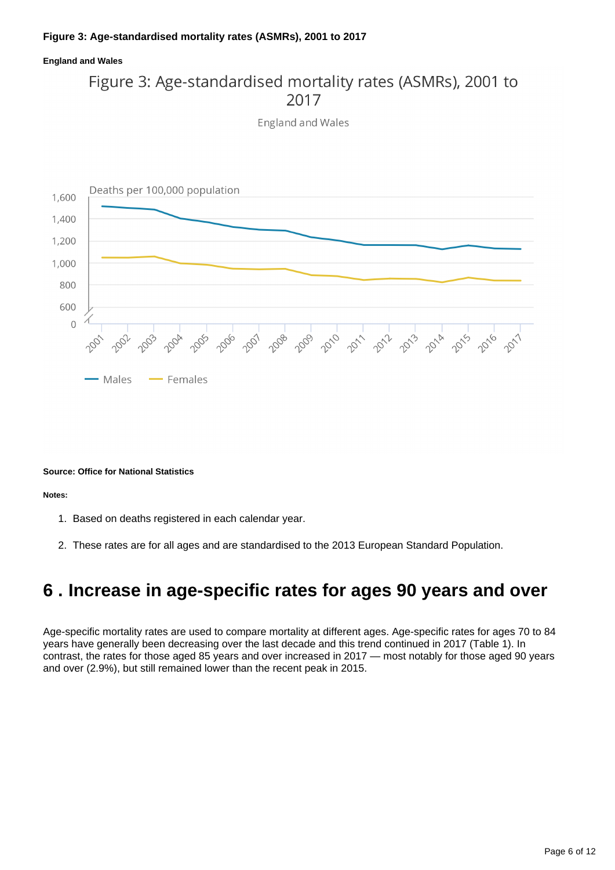### **Figure 3: Age-standardised mortality rates (ASMRs), 2001 to 2017**

### **England and Wales**

## Figure 3: Age-standardised mortality rates (ASMRs), 2001 to 2017

England and Wales



#### **Source: Office for National Statistics**

**Notes:**

- 1. Based on deaths registered in each calendar year.
- 2. These rates are for all ages and are standardised to the 2013 European Standard Population.

### <span id="page-5-0"></span>**6 . Increase in age-specific rates for ages 90 years and over**

Age-specific mortality rates are used to compare mortality at different ages. Age-specific rates for ages 70 to 84 years have generally been decreasing over the last decade and this trend continued in 2017 (Table 1). In contrast, the rates for those aged 85 years and over increased in 2017 — most notably for those aged 90 years and over (2.9%), but still remained lower than the recent peak in 2015.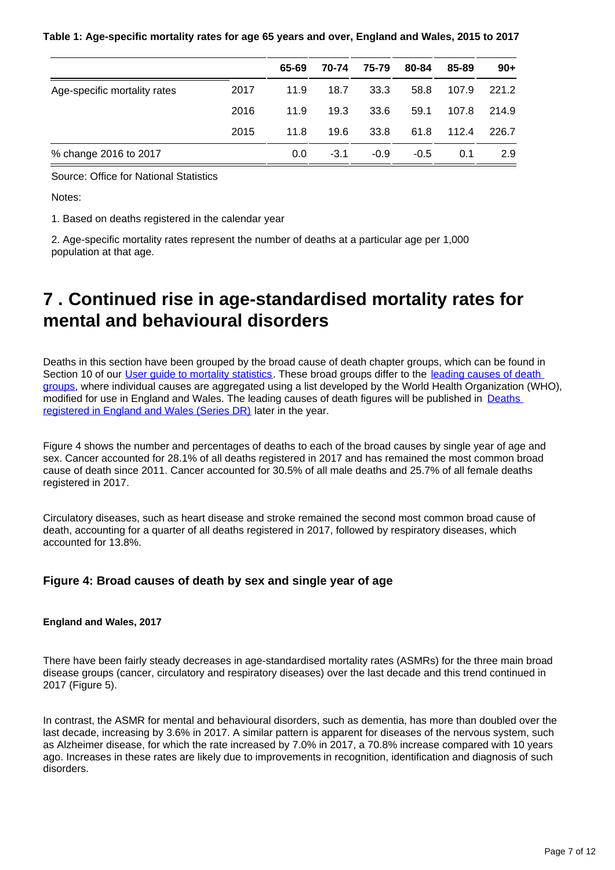#### **Table 1: Age-specific mortality rates for age 65 years and over, England and Wales, 2015 to 2017**

|                              |      | 65-69 | 70-74  | 75-79  | 80-84  | 85-89 | $90+$ |
|------------------------------|------|-------|--------|--------|--------|-------|-------|
| Age-specific mortality rates | 2017 | 11.9  | 18.7   | 33.3   | 58.8   | 107.9 | 221.2 |
|                              | 2016 | 11.9  | 19.3   | 33.6   | 59.1   | 107.8 | 214.9 |
|                              | 2015 | 11.8  | 19.6   | 33.8   | 61.8   | 112.4 | 226.7 |
| % change 2016 to 2017        |      | 0.0   | $-3.1$ | $-0.9$ | $-0.5$ | 0.1   | 2.9   |

Source: Office for National Statistics

Notes:

1. Based on deaths registered in the calendar year

2. Age-specific mortality rates represent the number of deaths at a particular age per 1,000 population at that age.

## <span id="page-6-0"></span>**7 . Continued rise in age-standardised mortality rates for mental and behavioural disorders**

Deaths in this section have been grouped by the broad cause of death chapter groups, which can be found in Section 10 of our User quide to mortality statistics. These broad groups differ to the leading causes of death [groups,](https://www.ons.gov.uk/peoplepopulationandcommunity/birthsdeathsandmarriages/deaths/methodologies/userguidetomortalitystatistics/leadingcausesofdeathinenglandandwalesrevised2016) where individual causes are aggregated using a list developed by the World Health Organization (WHO), modified for use in England and Wales. The leading causes of death figures will be published in **Deaths** [registered in England and Wales \(Series DR\)](https://www.ons.gov.uk/peoplepopulationandcommunity/birthsdeathsandmarriages/deaths/bulletins/deathsregisteredinenglandandwalesseriesdr/previousReleases) later in the year.

Figure 4 shows the number and percentages of deaths to each of the broad causes by single year of age and sex. Cancer accounted for 28.1% of all deaths registered in 2017 and has remained the most common broad cause of death since 2011. Cancer accounted for 30.5% of all male deaths and 25.7% of all female deaths registered in 2017.

Circulatory diseases, such as heart disease and stroke remained the second most common broad cause of death, accounting for a quarter of all deaths registered in 2017, followed by respiratory diseases, which accounted for 13.8%.

### **Figure 4: Broad causes of death by sex and single year of age**

### **England and Wales, 2017**

There have been fairly steady decreases in age-standardised mortality rates (ASMRs) for the three main broad disease groups (cancer, circulatory and respiratory diseases) over the last decade and this trend continued in 2017 (Figure 5).

In contrast, the ASMR for mental and behavioural disorders, such as dementia, has more than doubled over the last decade, increasing by 3.6% in 2017. A similar pattern is apparent for diseases of the nervous system, such as Alzheimer disease, for which the rate increased by 7.0% in 2017, a 70.8% increase compared with 10 years ago. Increases in these rates are likely due to improvements in recognition, identification and diagnosis of such disorders.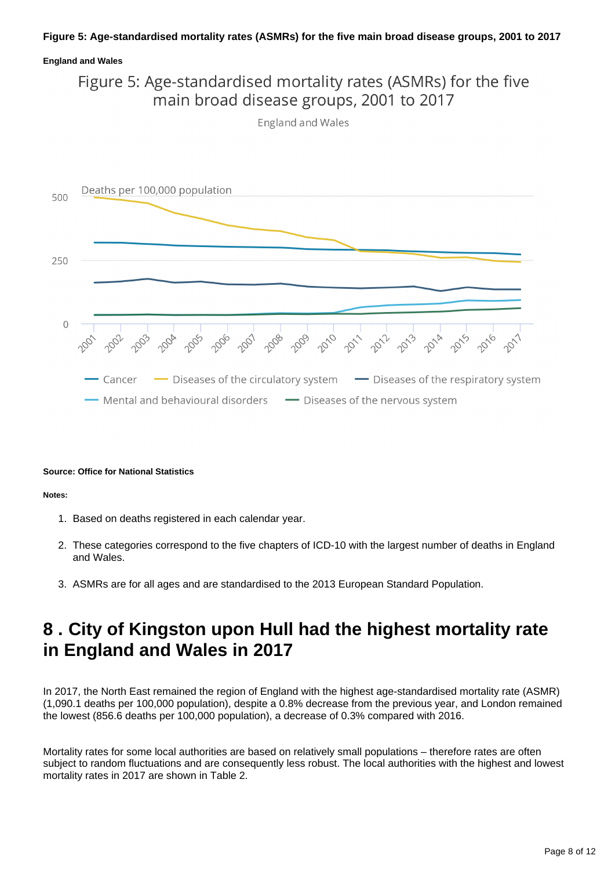### **Figure 5: Age-standardised mortality rates (ASMRs) for the five main broad disease groups, 2001 to 2017**

### **England and Wales**



**England and Wales** 



#### **Source: Office for National Statistics**

**Notes:**

- 1. Based on deaths registered in each calendar year.
- 2. These categories correspond to the five chapters of ICD-10 with the largest number of deaths in England and Wales.
- 3. ASMRs are for all ages and are standardised to the 2013 European Standard Population.

### <span id="page-7-0"></span>**8 . City of Kingston upon Hull had the highest mortality rate in England and Wales in 2017**

In 2017, the North East remained the region of England with the highest age-standardised mortality rate (ASMR) (1,090.1 deaths per 100,000 population), despite a 0.8% decrease from the previous year, and London remained the lowest (856.6 deaths per 100,000 population), a decrease of 0.3% compared with 2016.

Mortality rates for some local authorities are based on relatively small populations – therefore rates are often subject to random fluctuations and are consequently less robust. The local authorities with the highest and lowest mortality rates in 2017 are shown in Table 2.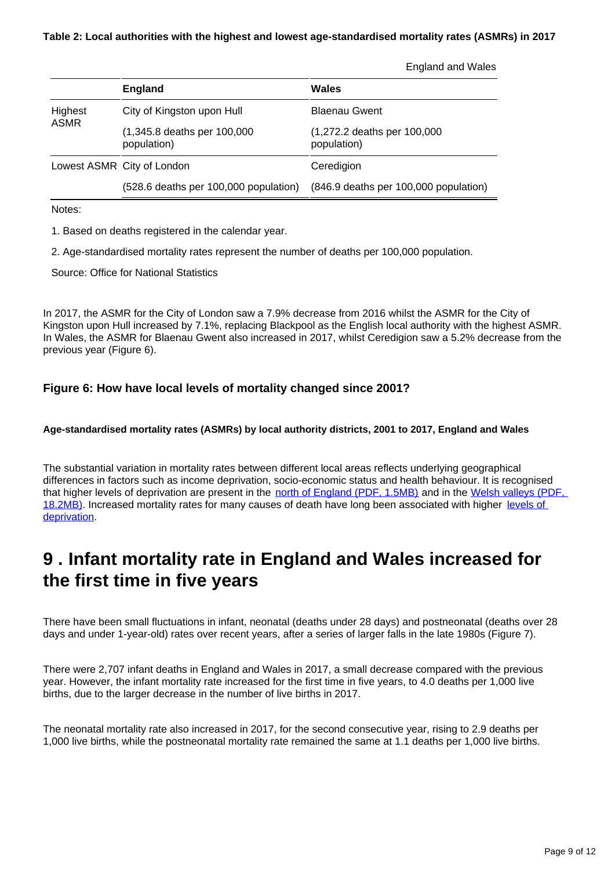England and Wales

|                                       | <b>England</b>                             | Wales                                      |  |  |  |
|---------------------------------------|--------------------------------------------|--------------------------------------------|--|--|--|
| Highest<br>City of Kingston upon Hull |                                            | <b>Blaenau Gwent</b>                       |  |  |  |
| <b>ASMR</b>                           | (1,345.8 deaths per 100,000<br>population) | (1,272.2 deaths per 100,000<br>population) |  |  |  |
| Lowest ASMR City of London            |                                            | Ceredigion                                 |  |  |  |
|                                       | (528.6 deaths per 100,000 population)      | (846.9 deaths per 100,000 population)      |  |  |  |

Notes:

1. Based on deaths registered in the calendar year.

2. Age-standardised mortality rates represent the number of deaths per 100,000 population.

Source: Office for National Statistics

In 2017, the ASMR for the City of London saw a 7.9% decrease from 2016 whilst the ASMR for the City of Kingston upon Hull increased by 7.1%, replacing Blackpool as the English local authority with the highest ASMR. In Wales, the ASMR for Blaenau Gwent also increased in 2017, whilst Ceredigion saw a 5.2% decrease from the previous year (Figure 6).

### **Figure 6: How have local levels of mortality changed since 2001?**

#### **Age-standardised mortality rates (ASMRs) by local authority districts, 2001 to 2017, England and Wales**

The substantial variation in mortality rates between different local areas reflects underlying geographical differences in factors such as income deprivation, socio-economic status and health behaviour. It is recognised that higher levels of deprivation are present in the [north of England \(PDF, 1.5MB\)](https://www.gov.uk/government/uploads/system/uploads/attachment_data/file/465791/English_Indices_of_Deprivation_2015_-_Statistical_Release.pdf) and in the [Welsh valleys \(PDF,](http://gov.wales/docs/statistics/2015/150812-wimd-2014-revised-en.pdf)  [18.2MB\).](http://gov.wales/docs/statistics/2015/150812-wimd-2014-revised-en.pdf) Increased mortality rates for many causes of death have long been associated with higher [levels of](https://www.ons.gov.uk/peoplepopulationandcommunity/birthsdeathsandmarriages/deaths/articles/howdoesdeprivationvarybyleadingcauseofdeath/2017-11-01)  [deprivation](https://www.ons.gov.uk/peoplepopulationandcommunity/birthsdeathsandmarriages/deaths/articles/howdoesdeprivationvarybyleadingcauseofdeath/2017-11-01).

## <span id="page-8-0"></span>**9 . Infant mortality rate in England and Wales increased for the first time in five years**

There have been small fluctuations in infant, neonatal (deaths under 28 days) and postneonatal (deaths over 28 days and under 1-year-old) rates over recent years, after a series of larger falls in the late 1980s (Figure 7).

There were 2,707 infant deaths in England and Wales in 2017, a small decrease compared with the previous year. However, the infant mortality rate increased for the first time in five years, to 4.0 deaths per 1,000 live births, due to the larger decrease in the number of live births in 2017.

The neonatal mortality rate also increased in 2017, for the second consecutive year, rising to 2.9 deaths per 1,000 live births, while the postneonatal mortality rate remained the same at 1.1 deaths per 1,000 live births.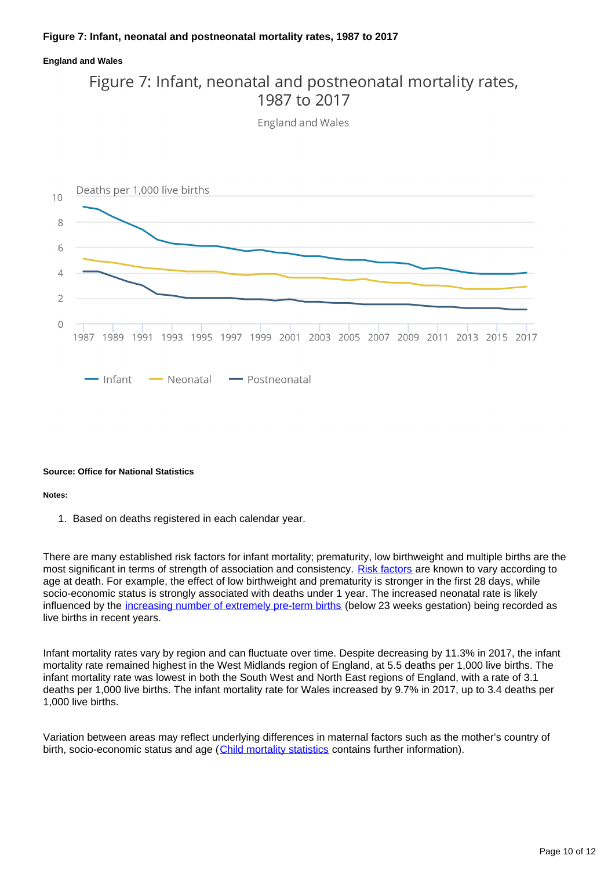#### **Figure 7: Infant, neonatal and postneonatal mortality rates, 1987 to 2017**

#### **England and Wales**

### Figure 7: Infant, neonatal and postneonatal mortality rates, 1987 to 2017

England and Wales



#### **Source: Office for National Statistics**

#### **Notes:**

1. Based on deaths registered in each calendar year.

There are many established risk factors for infant mortality; prematurity, low birthweight and multiple births are the most significant in terms of strength of association and consistency. [Risk factors](http://webarchive.nationalarchives.gov.uk/20160105160709/http:/www.ons.gov.uk/ons/rel/hsq/health-statistics-quarterly/no--42--summer-2009/index.html) are known to vary according to age at death. For example, the effect of low birthweight and prematurity is stronger in the first 28 days, while socio-economic status is strongly associated with deaths under 1 year. The increased neonatal rate is likely influenced by the [increasing number of extremely pre-term births](https://www.bmj.com/content/360/bmj.k1270/rr) (below 23 weeks gestation) being recorded as live births in recent years.

Infant mortality rates vary by region and can fluctuate over time. Despite decreasing by 11.3% in 2017, the infant mortality rate remained highest in the West Midlands region of England, at 5.5 deaths per 1,000 live births. The infant mortality rate was lowest in both the South West and North East regions of England, with a rate of 3.1 deaths per 1,000 live births. The infant mortality rate for Wales increased by 9.7% in 2017, up to 3.4 deaths per 1,000 live births.

Variation between areas may reflect underlying differences in maternal factors such as the mother's country of birth, socio-economic status and age ([Child mortality statistics](http://www.ons.gov.uk/peoplepopulationandcommunity/birthsdeathsandmarriages/deaths/bulletins/childhoodinfantandperinatalmortalityinenglandandwales/previousReleases) contains further information).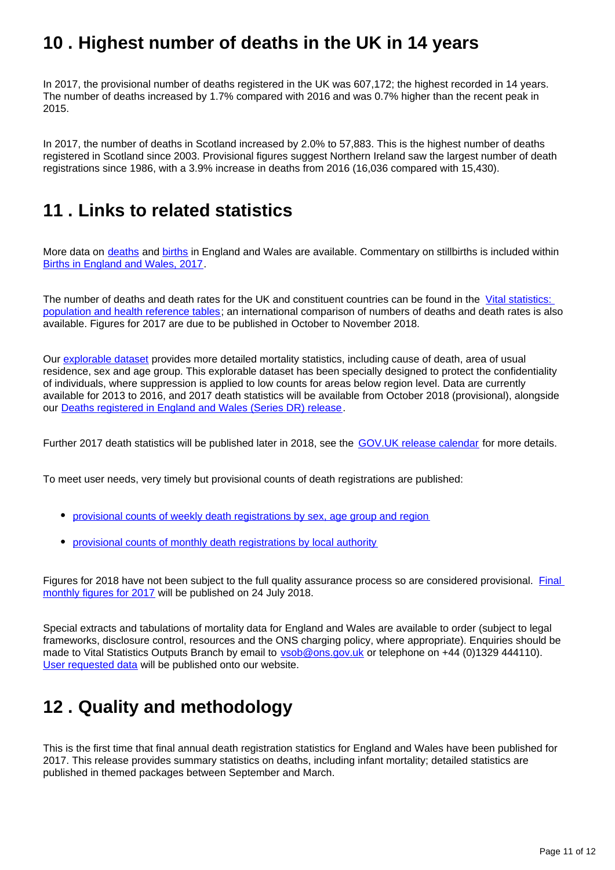## <span id="page-10-0"></span>**10 . Highest number of deaths in the UK in 14 years**

In 2017, the provisional number of deaths registered in the UK was 607,172; the highest recorded in 14 years. The number of deaths increased by 1.7% compared with 2016 and was 0.7% higher than the recent peak in 2015.

In 2017, the number of deaths in Scotland increased by 2.0% to 57,883. This is the highest number of deaths registered in Scotland since 2003. Provisional figures suggest Northern Ireland saw the largest number of death registrations since 1986, with a 3.9% increase in deaths from 2016 (16,036 compared with 15,430).

### <span id="page-10-1"></span>**11 . Links to related statistics**

More data on [deaths](https://www.ons.gov.uk/peoplepopulationandcommunity/birthsdeathsandmarriages/deaths) and [births](https://www.ons.gov.uk/peoplepopulationandcommunity/birthsdeathsandmarriages/livebirths) in England and Wales are available. Commentary on stillbirths is included within [Births in England and Wales, 2017](http://www.ons.gov.uk/peoplepopulationandcommunity/birthsdeathsandmarriages/livebirths/bulletins/birthsummarytablesenglandandwales/previousReleases).

The number of deaths and death rates for the UK and constituent countries can be found in the Vital statistics: [population and health reference tables](http://www.ons.gov.uk/peoplepopulationandcommunity/populationandmigration/populationestimates/datasets/vitalstatisticspopulationandhealthreferencetables); an international comparison of numbers of deaths and death rates is also available. Figures for 2017 are due to be published in October to November 2018.

Our [explorable dataset](https://www.nomisweb.co.uk/query/select/getdatasetbytheme.asp?theme=73) provides more detailed mortality statistics, including cause of death, area of usual residence, sex and age group. This explorable dataset has been specially designed to protect the confidentiality of individuals, where suppression is applied to low counts for areas below region level. Data are currently available for 2013 to 2016, and 2017 death statistics will be available from October 2018 (provisional), alongside our [Deaths registered in England and Wales \(Series DR\) release.](https://www.ons.gov.uk/peoplepopulationandcommunity/birthsdeathsandmarriages/deaths/bulletins/deathsregisteredinenglandandwalesseriesdr/previousReleases)

Further 2017 death statistics will be published later in 2018, see the [GOV.UK release calendar](https://www.gov.uk/government/statistics/announcements) for more details.

To meet user needs, very timely but provisional counts of death registrations are published:

- [provisional counts of weekly death registrations by sex, age group and region](http://www.ons.gov.uk/peoplepopulationandcommunity/birthsdeathsandmarriages/deaths/datasets/weeklyprovisionalfiguresondeathsregisteredinenglandandwales)
- [provisional counts of monthly death registrations by local authority](http://www.ons.gov.uk/peoplepopulationandcommunity/birthsdeathsandmarriages/deaths/datasets/monthlyfiguresondeathsregisteredbyareaofusualresidence)

Figures for 2018 have not been subject to the full quality assurance process so are considered provisional. Final [monthly figures for 2017](https://www.ons.gov.uk/releases/monthlyfiguresondeathsregisteredbyareaofusualresidenceenglandandwalesjune2018provisionalandannual2017final) will be published on 24 July 2018.

Special extracts and tabulations of mortality data for England and Wales are available to order (subject to legal frameworks, disclosure control, resources and the ONS charging policy, where appropriate). Enquiries should be made to Vital Statistics Outputs Branch by email to vsob@ons.gov.uk or telephone on +44 (0)1329 444110). [User requested data](https://www.ons.gov.uk/peoplepopulationandcommunity/birthsdeathsandmarriages/deaths/datalist) will be published onto our website.

## <span id="page-10-2"></span>**12 . Quality and methodology**

This is the first time that final annual death registration statistics for England and Wales have been published for 2017. This release provides summary statistics on deaths, including infant mortality; detailed statistics are published in themed packages between September and March.